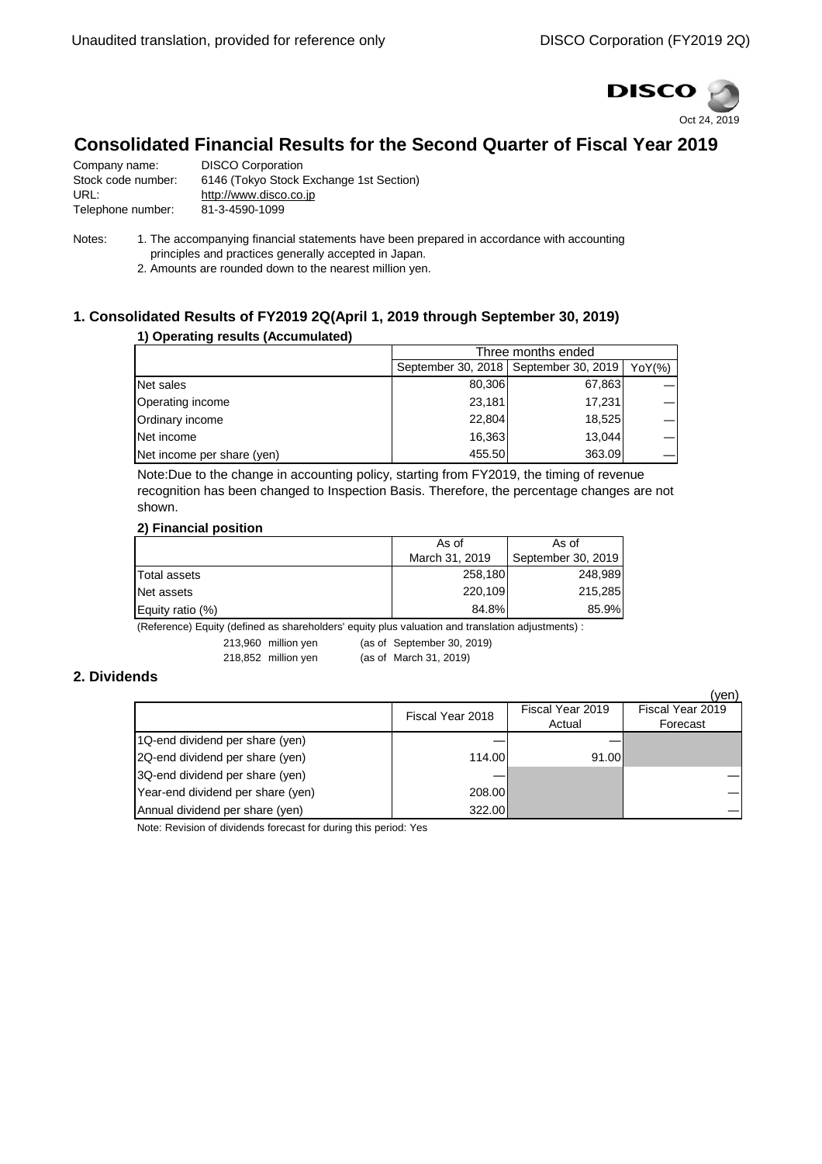

# **Consolidated Financial Results for the Second Quarter of Fiscal Year 2019**

| <b>DISCO Corporation</b>                |
|-----------------------------------------|
| 6146 (Tokyo Stock Exchange 1st Section) |
| http://www.disco.co.jp                  |
| 81-3-4590-1099                          |
|                                         |

Notes: 1. The accompanying financial statements have been prepared in accordance with accounting principles and practices generally accepted in Japan.

2. Amounts are rounded down to the nearest million yen.

## **1. Consolidated Results of FY2019 2Q(April 1, 2019 through September 30, 2019)**

#### **1) Operating results (Accumulated)**

|                            | Three months ended |                                         |            |
|----------------------------|--------------------|-----------------------------------------|------------|
|                            |                    | September 30, 2018   September 30, 2019 | $YoY(\% )$ |
| Net sales                  | 80,306             | 67,863                                  |            |
| Operating income           | 23.181             | 17.231                                  |            |
| Ordinary income            | 22,804             | 18,525                                  |            |
| Net income                 | 16.363             | 13,044                                  |            |
| Net income per share (yen) | 455.50             | 363.09                                  |            |

Note:Due to the change in accounting policy, starting from FY2019, the timing of revenue recognition has been changed to Inspection Basis. Therefore, the percentage changes are not shown.

### **2) Financial position**

|                  | As of          | As of              |
|------------------|----------------|--------------------|
|                  | March 31, 2019 | September 30, 2019 |
| Total assets     | 258,180        | 248,989            |
| Net assets       | 220.109        | 215,285            |
| Equity ratio (%) | 84.8%          | 85.9%              |

(Reference) Equity (defined as shareholders' equity plus valuation and translation adjustments) :

213,960 million yen (as of September 30, 2019)

218,852 million yen (as of March 31, 2019)

**2. Dividends**

|                                   |                  |                  | (ven)            |
|-----------------------------------|------------------|------------------|------------------|
|                                   | Fiscal Year 2018 | Fiscal Year 2019 | Fiscal Year 2019 |
|                                   |                  | Actual           | Forecast         |
| 1Q-end dividend per share (yen)   |                  |                  |                  |
| 2Q-end dividend per share (yen)   | 114.00           | 91.00            |                  |
| 3Q-end dividend per share (yen)   |                  |                  |                  |
| Year-end dividend per share (yen) | 208.00           |                  |                  |
| Annual dividend per share (yen)   | 322.00           |                  |                  |

Note: Revision of dividends forecast for during this period: Yes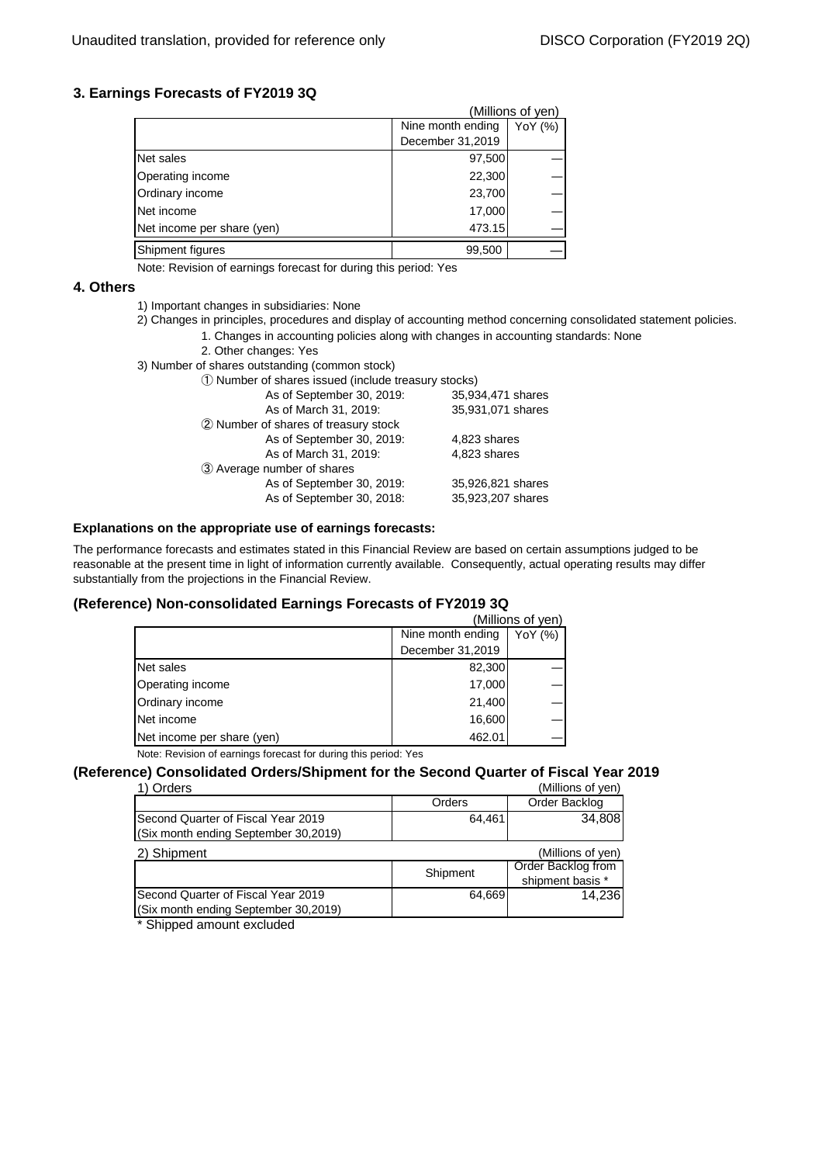### **3. Earnings Forecasts of FY2019 3Q**

|                            |                   | (Millions of yen) |
|----------------------------|-------------------|-------------------|
|                            | Nine month ending | YoY (%)           |
|                            | December 31,2019  |                   |
| Net sales                  | 97,500            |                   |
| Operating income           | 22,300            |                   |
| Ordinary income            | 23,700            |                   |
| Net income                 | 17,000            |                   |
| Net income per share (yen) | 473.15            |                   |
| Shipment figures           | 99,500            |                   |

Note: Revision of earnings forecast for during this period: Yes

#### **4. Others**

- 1) Important changes in subsidiaries: None
- 2) Changes in principles, procedures and display of accounting method concerning consolidated statement policies.
	- 1. Changes in accounting policies along with changes in accounting standards: None
		- 2. Other changes: Yes
- 3) Number of shares outstanding (common stock)

| 1) Number of shares issued (include treasury stocks) |                   |  |  |
|------------------------------------------------------|-------------------|--|--|
| As of September 30, 2019:                            | 35,934,471 shares |  |  |
| As of March 31, 2019:                                | 35,931,071 shares |  |  |
| 2 Number of shares of treasury stock                 |                   |  |  |
| As of September 30, 2019:                            | 4,823 shares      |  |  |
| As of March 31, 2019:                                | 4,823 shares      |  |  |
| 3 Average number of shares                           |                   |  |  |
| As of September 30, 2019:                            | 35,926,821 shares |  |  |
| As of September 30, 2018:                            | 35,923,207 shares |  |  |
|                                                      |                   |  |  |

#### **Explanations on the appropriate use of earnings forecasts:**

The performance forecasts and estimates stated in this Financial Review are based on certain assumptions judged to be reasonable at the present time in light of information currently available. Consequently, actual operating results may differ substantially from the projections in the Financial Review.

#### **(Reference) Non-consolidated Earnings Forecasts of FY2019 3Q**

| Nine month ending<br>December 31,2019<br>82,300 | YoY (%)                                                         |
|-------------------------------------------------|-----------------------------------------------------------------|
|                                                 |                                                                 |
|                                                 |                                                                 |
|                                                 |                                                                 |
| 17,000                                          |                                                                 |
| 21,400                                          |                                                                 |
| 16,600                                          |                                                                 |
| 462.01                                          |                                                                 |
|                                                 | Nato: Douisian of cominent foreseet for during this ported. Ves |

Note: Revision of earnings forecast for during this period: Yes

### **(Reference) Consolidated Orders/Shipment for the Second Quarter of Fiscal Year 2019**

| Orders                               |          | (Millions of yen)  |
|--------------------------------------|----------|--------------------|
|                                      | Orders   | Order Backlog      |
| Second Quarter of Fiscal Year 2019   | 64.461   | 34,808             |
| (Six month ending September 30,2019) |          |                    |
| 2) Shipment                          |          | (Millions of yen)  |
|                                      | Shipment | Order Backlog from |
|                                      |          | shipment basis *   |
| Second Quarter of Fiscal Year 2019   | 64,669   | 14,236             |
| (Six month ending September 30,2019) |          |                    |
|                                      |          |                    |

\* Shipped amount excluded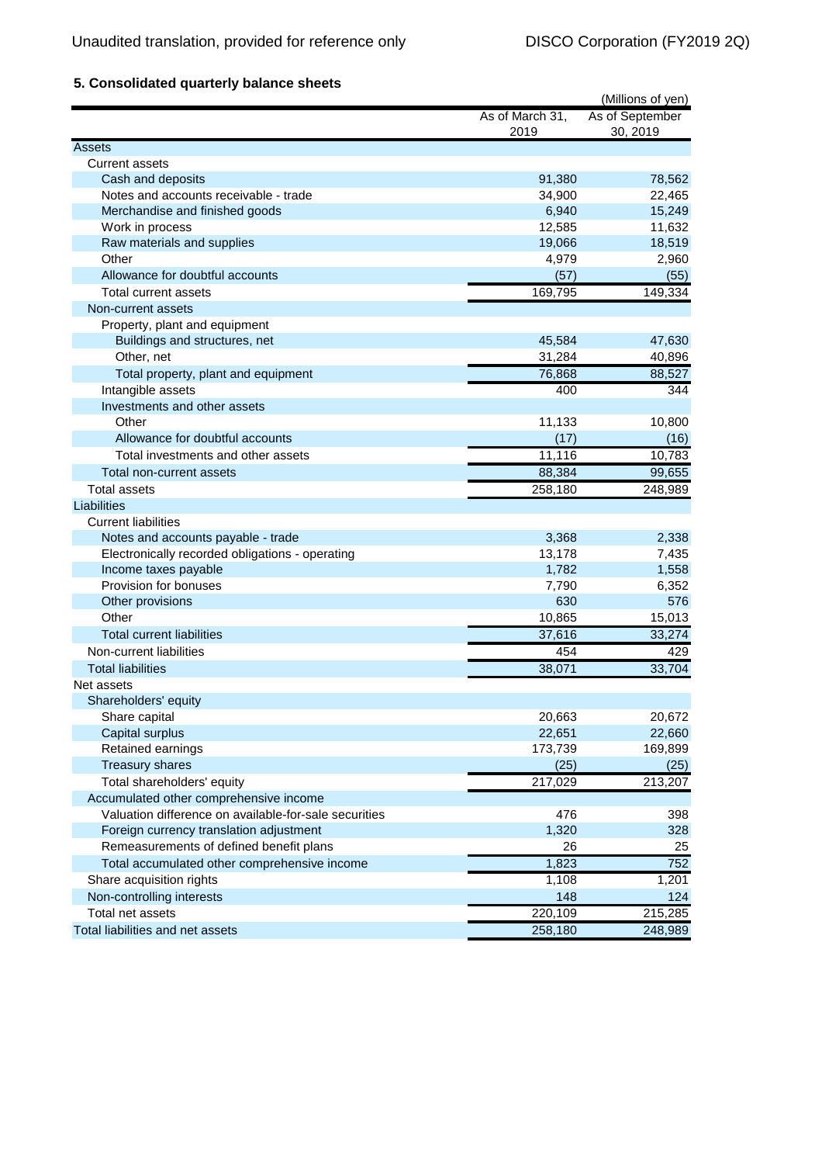# **5. Consolidated quarterly balance sheets**

| As of September<br>As of March 31,<br>30, 2019<br>2019<br>Assets |       |
|------------------------------------------------------------------|-------|
|                                                                  |       |
|                                                                  |       |
| <b>Current assets</b>                                            |       |
| 91,380<br>78,562<br>Cash and deposits                            |       |
| Notes and accounts receivable - trade<br>34,900<br>22,465        |       |
| Merchandise and finished goods<br>6,940<br>15,249                |       |
| Work in process<br>12,585<br>11,632                              |       |
| Raw materials and supplies<br>19,066<br>18,519                   |       |
| Other<br>4,979                                                   | 2,960 |
| Allowance for doubtful accounts<br>(57)                          | (55)  |
| 169,795<br>149,334<br>Total current assets                       |       |
| Non-current assets                                               |       |
| Property, plant and equipment                                    |       |
| Buildings and structures, net<br>45,584<br>47,630                |       |
| 31,284<br>Other, net<br>40,896                                   |       |
| 88,527<br>Total property, plant and equipment<br>76,868          |       |
| Intangible assets<br>400                                         | 344   |
| Investments and other assets                                     |       |
| Other<br>11,133<br>10,800                                        |       |
| Allowance for doubtful accounts<br>(17)                          | (16)  |
| 11,116<br>Total investments and other assets<br>10,783           |       |
| 88,384<br>99,655<br>Total non-current assets                     |       |
| <b>Total assets</b><br>258,180<br>248,989                        |       |
| Liabilities                                                      |       |
| <b>Current liabilities</b>                                       |       |
| 3,368<br>Notes and accounts payable - trade                      | 2,338 |
| Electronically recorded obligations - operating<br>13,178        | 7,435 |
| Income taxes payable<br>1,782                                    | 1,558 |
| Provision for bonuses<br>7,790                                   | 6,352 |
| 630<br>Other provisions                                          | 576   |
| 15,013<br>Other<br>10,865                                        |       |
| 33,274<br>37,616<br><b>Total current liabilities</b>             |       |
| Non-current liabilities<br>454                                   | 429   |
| 38,071<br>33,704<br><b>Total liabilities</b>                     |       |
| Net assets                                                       |       |
| Shareholders' equity                                             |       |
| Share capital<br>20,663<br>20,672                                |       |
| Capital surplus<br>22,651<br>22,660                              |       |
| Retained earnings<br>173,739<br>169,899                          |       |
| <b>Treasury shares</b><br>(25)                                   | (25)  |
| 217,029<br>213,207<br>Total shareholders' equity                 |       |
| Accumulated other comprehensive income                           |       |
| Valuation difference on available-for-sale securities<br>476     | 398   |
| Foreign currency translation adjustment<br>1,320                 | 328   |
| Remeasurements of defined benefit plans<br>26                    | 25    |
| 1,823<br>Total accumulated other comprehensive income            | 752   |
| Share acquisition rights<br>1,108                                | 1,201 |
| Non-controlling interests<br>148                                 | 124   |
| Total net assets<br>220,109<br>215,285                           |       |
| Total liabilities and net assets<br>258,180<br>248,989           |       |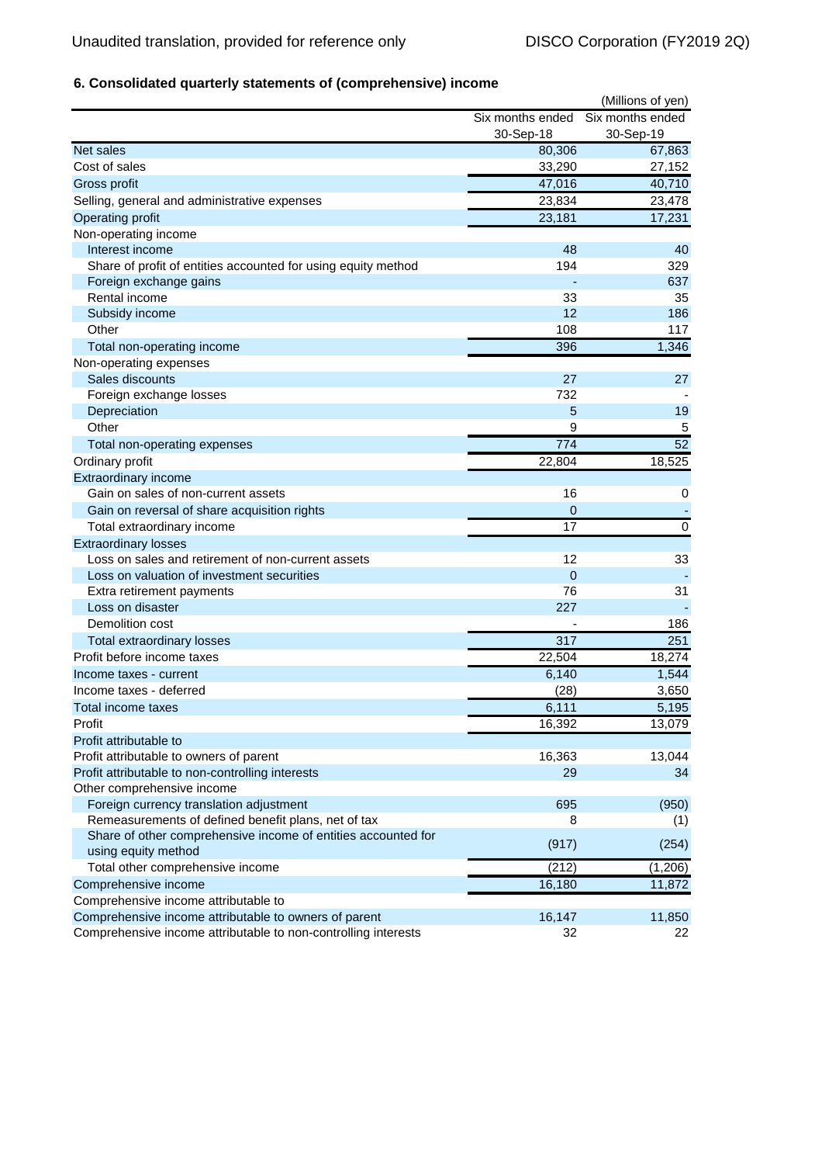# **6. Consolidated quarterly statements of (comprehensive) income**

| Six months ended<br>Six months ended<br>30-Sep-18<br>30-Sep-19<br>Net sales<br>80,306<br>67,863<br>Cost of sales<br>33,290<br>27,152<br>47,016<br>40,710<br>Gross profit<br>Selling, general and administrative expenses<br>23,834<br>23,478<br><b>Operating profit</b><br>23,181<br>17,231<br>Non-operating income<br>Interest income<br>48<br>40<br>194<br>Share of profit of entities accounted for using equity method<br>329<br>Foreign exchange gains<br>637<br>Rental income<br>33<br>35<br>12<br>186<br>Subsidy income<br>Other<br>108<br>117<br>396<br>1,346<br>Total non-operating income<br>Non-operating expenses<br>Sales discounts<br>27<br>27<br>Foreign exchange losses<br>732<br>Depreciation<br>5<br>19<br>Other<br>9<br>5<br>52<br>774<br>Total non-operating expenses<br>Ordinary profit<br>22,804<br>18,525<br>Extraordinary income<br>Gain on sales of non-current assets<br>16<br>0<br>Gain on reversal of share acquisition rights<br>0<br>17<br>$\mathbf 0$<br>Total extraordinary income<br><b>Extraordinary losses</b><br>Loss on sales and retirement of non-current assets<br>12<br>33<br>Loss on valuation of investment securities<br>$\overline{0}$<br>76<br>31<br>Extra retirement payments<br>Loss on disaster<br>227 |
|---------------------------------------------------------------------------------------------------------------------------------------------------------------------------------------------------------------------------------------------------------------------------------------------------------------------------------------------------------------------------------------------------------------------------------------------------------------------------------------------------------------------------------------------------------------------------------------------------------------------------------------------------------------------------------------------------------------------------------------------------------------------------------------------------------------------------------------------------------------------------------------------------------------------------------------------------------------------------------------------------------------------------------------------------------------------------------------------------------------------------------------------------------------------------------------------------------------------------------------------------------|
|                                                                                                                                                                                                                                                                                                                                                                                                                                                                                                                                                                                                                                                                                                                                                                                                                                                                                                                                                                                                                                                                                                                                                                                                                                                         |
|                                                                                                                                                                                                                                                                                                                                                                                                                                                                                                                                                                                                                                                                                                                                                                                                                                                                                                                                                                                                                                                                                                                                                                                                                                                         |
|                                                                                                                                                                                                                                                                                                                                                                                                                                                                                                                                                                                                                                                                                                                                                                                                                                                                                                                                                                                                                                                                                                                                                                                                                                                         |
|                                                                                                                                                                                                                                                                                                                                                                                                                                                                                                                                                                                                                                                                                                                                                                                                                                                                                                                                                                                                                                                                                                                                                                                                                                                         |
|                                                                                                                                                                                                                                                                                                                                                                                                                                                                                                                                                                                                                                                                                                                                                                                                                                                                                                                                                                                                                                                                                                                                                                                                                                                         |
|                                                                                                                                                                                                                                                                                                                                                                                                                                                                                                                                                                                                                                                                                                                                                                                                                                                                                                                                                                                                                                                                                                                                                                                                                                                         |
|                                                                                                                                                                                                                                                                                                                                                                                                                                                                                                                                                                                                                                                                                                                                                                                                                                                                                                                                                                                                                                                                                                                                                                                                                                                         |
|                                                                                                                                                                                                                                                                                                                                                                                                                                                                                                                                                                                                                                                                                                                                                                                                                                                                                                                                                                                                                                                                                                                                                                                                                                                         |
|                                                                                                                                                                                                                                                                                                                                                                                                                                                                                                                                                                                                                                                                                                                                                                                                                                                                                                                                                                                                                                                                                                                                                                                                                                                         |
|                                                                                                                                                                                                                                                                                                                                                                                                                                                                                                                                                                                                                                                                                                                                                                                                                                                                                                                                                                                                                                                                                                                                                                                                                                                         |
|                                                                                                                                                                                                                                                                                                                                                                                                                                                                                                                                                                                                                                                                                                                                                                                                                                                                                                                                                                                                                                                                                                                                                                                                                                                         |
|                                                                                                                                                                                                                                                                                                                                                                                                                                                                                                                                                                                                                                                                                                                                                                                                                                                                                                                                                                                                                                                                                                                                                                                                                                                         |
|                                                                                                                                                                                                                                                                                                                                                                                                                                                                                                                                                                                                                                                                                                                                                                                                                                                                                                                                                                                                                                                                                                                                                                                                                                                         |
|                                                                                                                                                                                                                                                                                                                                                                                                                                                                                                                                                                                                                                                                                                                                                                                                                                                                                                                                                                                                                                                                                                                                                                                                                                                         |
|                                                                                                                                                                                                                                                                                                                                                                                                                                                                                                                                                                                                                                                                                                                                                                                                                                                                                                                                                                                                                                                                                                                                                                                                                                                         |
|                                                                                                                                                                                                                                                                                                                                                                                                                                                                                                                                                                                                                                                                                                                                                                                                                                                                                                                                                                                                                                                                                                                                                                                                                                                         |
|                                                                                                                                                                                                                                                                                                                                                                                                                                                                                                                                                                                                                                                                                                                                                                                                                                                                                                                                                                                                                                                                                                                                                                                                                                                         |
|                                                                                                                                                                                                                                                                                                                                                                                                                                                                                                                                                                                                                                                                                                                                                                                                                                                                                                                                                                                                                                                                                                                                                                                                                                                         |
|                                                                                                                                                                                                                                                                                                                                                                                                                                                                                                                                                                                                                                                                                                                                                                                                                                                                                                                                                                                                                                                                                                                                                                                                                                                         |
|                                                                                                                                                                                                                                                                                                                                                                                                                                                                                                                                                                                                                                                                                                                                                                                                                                                                                                                                                                                                                                                                                                                                                                                                                                                         |
|                                                                                                                                                                                                                                                                                                                                                                                                                                                                                                                                                                                                                                                                                                                                                                                                                                                                                                                                                                                                                                                                                                                                                                                                                                                         |
|                                                                                                                                                                                                                                                                                                                                                                                                                                                                                                                                                                                                                                                                                                                                                                                                                                                                                                                                                                                                                                                                                                                                                                                                                                                         |
|                                                                                                                                                                                                                                                                                                                                                                                                                                                                                                                                                                                                                                                                                                                                                                                                                                                                                                                                                                                                                                                                                                                                                                                                                                                         |
|                                                                                                                                                                                                                                                                                                                                                                                                                                                                                                                                                                                                                                                                                                                                                                                                                                                                                                                                                                                                                                                                                                                                                                                                                                                         |
|                                                                                                                                                                                                                                                                                                                                                                                                                                                                                                                                                                                                                                                                                                                                                                                                                                                                                                                                                                                                                                                                                                                                                                                                                                                         |
|                                                                                                                                                                                                                                                                                                                                                                                                                                                                                                                                                                                                                                                                                                                                                                                                                                                                                                                                                                                                                                                                                                                                                                                                                                                         |
|                                                                                                                                                                                                                                                                                                                                                                                                                                                                                                                                                                                                                                                                                                                                                                                                                                                                                                                                                                                                                                                                                                                                                                                                                                                         |
|                                                                                                                                                                                                                                                                                                                                                                                                                                                                                                                                                                                                                                                                                                                                                                                                                                                                                                                                                                                                                                                                                                                                                                                                                                                         |
|                                                                                                                                                                                                                                                                                                                                                                                                                                                                                                                                                                                                                                                                                                                                                                                                                                                                                                                                                                                                                                                                                                                                                                                                                                                         |
|                                                                                                                                                                                                                                                                                                                                                                                                                                                                                                                                                                                                                                                                                                                                                                                                                                                                                                                                                                                                                                                                                                                                                                                                                                                         |
|                                                                                                                                                                                                                                                                                                                                                                                                                                                                                                                                                                                                                                                                                                                                                                                                                                                                                                                                                                                                                                                                                                                                                                                                                                                         |
| Demolition cost<br>186                                                                                                                                                                                                                                                                                                                                                                                                                                                                                                                                                                                                                                                                                                                                                                                                                                                                                                                                                                                                                                                                                                                                                                                                                                  |
| 317<br>251<br><b>Total extraordinary losses</b>                                                                                                                                                                                                                                                                                                                                                                                                                                                                                                                                                                                                                                                                                                                                                                                                                                                                                                                                                                                                                                                                                                                                                                                                         |
| 18,274<br>Profit before income taxes<br>22,504                                                                                                                                                                                                                                                                                                                                                                                                                                                                                                                                                                                                                                                                                                                                                                                                                                                                                                                                                                                                                                                                                                                                                                                                          |
| 6,140<br>1,544<br>Income taxes - current                                                                                                                                                                                                                                                                                                                                                                                                                                                                                                                                                                                                                                                                                                                                                                                                                                                                                                                                                                                                                                                                                                                                                                                                                |
| (28)<br>3,650<br>Income taxes - deferred                                                                                                                                                                                                                                                                                                                                                                                                                                                                                                                                                                                                                                                                                                                                                                                                                                                                                                                                                                                                                                                                                                                                                                                                                |
| 5,195<br>6,111<br>Total income taxes                                                                                                                                                                                                                                                                                                                                                                                                                                                                                                                                                                                                                                                                                                                                                                                                                                                                                                                                                                                                                                                                                                                                                                                                                    |
| 16,392<br>13,079<br>Profit                                                                                                                                                                                                                                                                                                                                                                                                                                                                                                                                                                                                                                                                                                                                                                                                                                                                                                                                                                                                                                                                                                                                                                                                                              |
| Profit attributable to                                                                                                                                                                                                                                                                                                                                                                                                                                                                                                                                                                                                                                                                                                                                                                                                                                                                                                                                                                                                                                                                                                                                                                                                                                  |
| 16,363<br>Profit attributable to owners of parent<br>13,044                                                                                                                                                                                                                                                                                                                                                                                                                                                                                                                                                                                                                                                                                                                                                                                                                                                                                                                                                                                                                                                                                                                                                                                             |
| Profit attributable to non-controlling interests<br>29<br>34                                                                                                                                                                                                                                                                                                                                                                                                                                                                                                                                                                                                                                                                                                                                                                                                                                                                                                                                                                                                                                                                                                                                                                                            |
| Other comprehensive income                                                                                                                                                                                                                                                                                                                                                                                                                                                                                                                                                                                                                                                                                                                                                                                                                                                                                                                                                                                                                                                                                                                                                                                                                              |
| Foreign currency translation adjustment<br>695<br>(950)                                                                                                                                                                                                                                                                                                                                                                                                                                                                                                                                                                                                                                                                                                                                                                                                                                                                                                                                                                                                                                                                                                                                                                                                 |
| Remeasurements of defined benefit plans, net of tax<br>8<br>(1)                                                                                                                                                                                                                                                                                                                                                                                                                                                                                                                                                                                                                                                                                                                                                                                                                                                                                                                                                                                                                                                                                                                                                                                         |
| Share of other comprehensive income of entities accounted for                                                                                                                                                                                                                                                                                                                                                                                                                                                                                                                                                                                                                                                                                                                                                                                                                                                                                                                                                                                                                                                                                                                                                                                           |
| (254)<br>(917)<br>using equity method                                                                                                                                                                                                                                                                                                                                                                                                                                                                                                                                                                                                                                                                                                                                                                                                                                                                                                                                                                                                                                                                                                                                                                                                                   |
| (212)<br>(1, 206)<br>Total other comprehensive income                                                                                                                                                                                                                                                                                                                                                                                                                                                                                                                                                                                                                                                                                                                                                                                                                                                                                                                                                                                                                                                                                                                                                                                                   |
| 16,180<br>Comprehensive income<br>11,872                                                                                                                                                                                                                                                                                                                                                                                                                                                                                                                                                                                                                                                                                                                                                                                                                                                                                                                                                                                                                                                                                                                                                                                                                |
| Comprehensive income attributable to                                                                                                                                                                                                                                                                                                                                                                                                                                                                                                                                                                                                                                                                                                                                                                                                                                                                                                                                                                                                                                                                                                                                                                                                                    |
| 16,147<br>Comprehensive income attributable to owners of parent<br>11,850                                                                                                                                                                                                                                                                                                                                                                                                                                                                                                                                                                                                                                                                                                                                                                                                                                                                                                                                                                                                                                                                                                                                                                               |
| Comprehensive income attributable to non-controlling interests<br>32<br>22                                                                                                                                                                                                                                                                                                                                                                                                                                                                                                                                                                                                                                                                                                                                                                                                                                                                                                                                                                                                                                                                                                                                                                              |